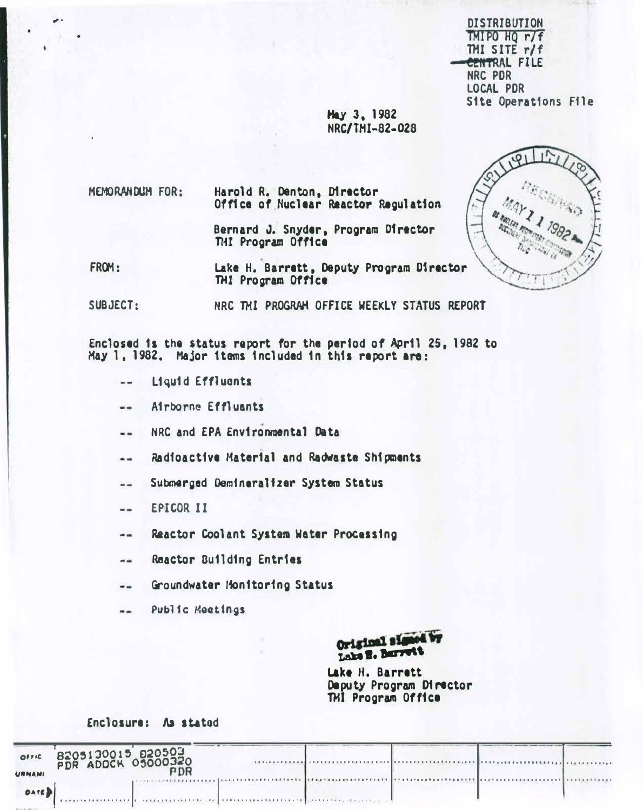**DISTRIBUTION** TMIPO HQ r/f TMI SITE  $r/f$ CENTRAL FILE NRC PDR **LOCAL PDR Site Operations File** 

**Hay 3, 1982** NRC/TMI-82-028

MEMORANDUM FOR: Harold R. Denton, Director Office of Nuclear Reactor Regulation

> Bernard J. Snyder, Program Director THI Program Office

FROM: Lake H. Barrett, Deputy Program Director TMI Program Office

NRC TMI PROGRAM OFFICE WEEKLY STATUS REPORT SUBJECT:

Enclosed is the status report for the period of April 25, 1982 to May 1, 1982. Major items included in this report are:

- $\sim$ Liquid Effluents
- Airborne Effluants --
- NRC and EPA Environmental Data  $-1$
- Radioactive Material and Radwaste Shipments --
- Submarged Demineralizer System Status  $-1$
- EPICOR II  $\rightarrow$
- Reactor Coolant System Water Processing  $\ddotsc$
- Reactor Building Entries  $\sim$   $\sim$
- Groundwater Monitoring Status  $\frac{1}{2}$
- Public Meetings  $\frac{1}{2}$

Original signed by Lake E. Barrett

Lake H. Barrett Deputy Program Director THI Program Office

Enclosure: As stated

| OFFIC<br><b>URNAMI</b>                                  | B205130015 820503 |                                                                                                                                                                                                                                      |  |  |
|---------------------------------------------------------|-------------------|--------------------------------------------------------------------------------------------------------------------------------------------------------------------------------------------------------------------------------------|--|--|
| DATE D<br>the property of the control of the control of |                   | <b>THE RESIDENT OF A REPORT OF A REPORT OF A REPORT OF A REPORT OF A REPORT OF A REPORT OF A REPORT OF A REPORT OF A REPORT OF A REPORT OF A REPORT OF A REPORT OF A REPORT OF A REPORT OF A REPORT OF A REPORT OF A REPORT OF A</b> |  |  |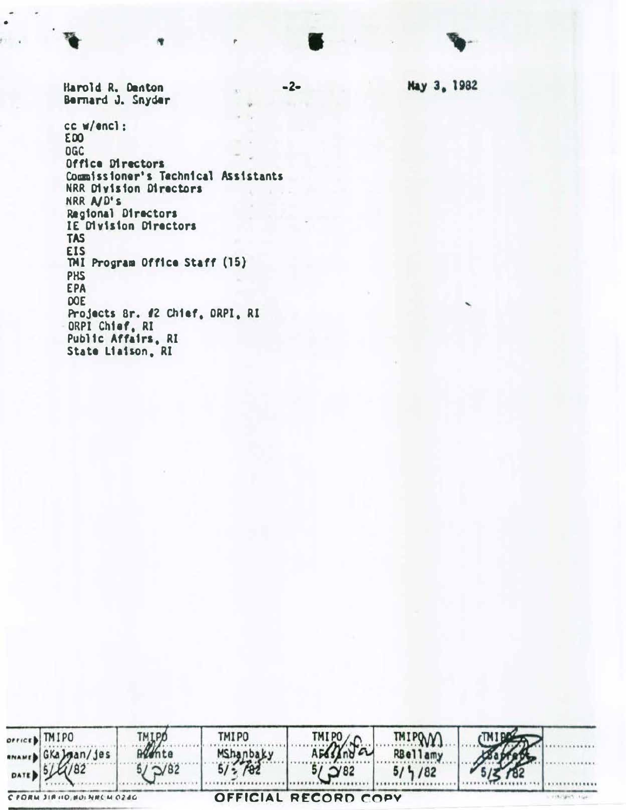Harold R. Denton Bernard J. Snyder cc w/encl: **EDO** DGC Office Directors Commissioner's Technical Assistants NRR Division Directors NRR A/D's Regional Directors IE Division Directors **TAS EIS** TMI Program Office Staff (15) **PHS EPA DOE** Projects 8r. #2 Chief, ORPI, RI ORPI Chief, RI Public Affairs, RI State Liaison, RI



May 3, 1982

 $-2-$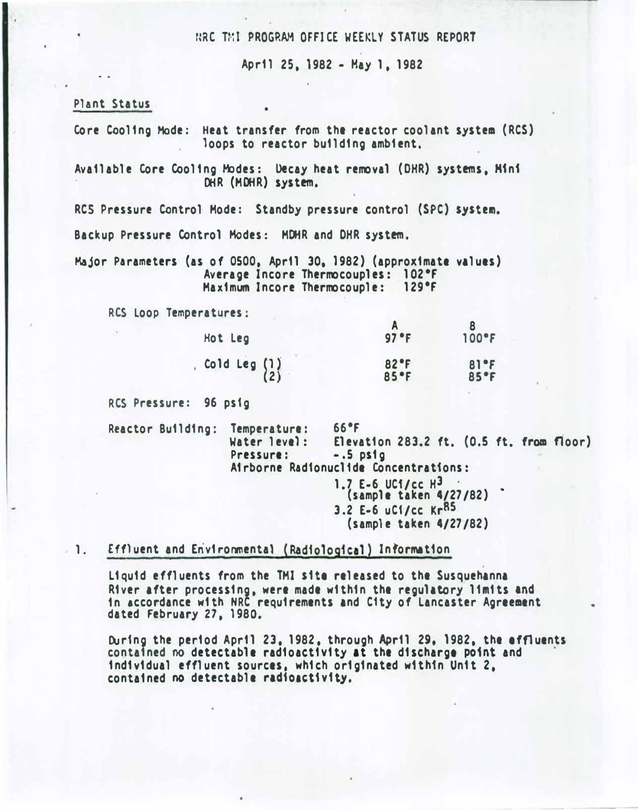### HRC THI PROGRAM OFFICE WEEKLY STATUS REPORT

April 25, 1982- Hay 1, 1982

Plant Status

Core Cooling Mode: Heat transfer from the reactor coolant system (RCS) loops to reactor building ambient.

Available Core Cooling Modes: Decay heat removal (DHR) systems, H1n1 DHR (MDHR) system.

RCS Pressure Control Mode: Standby pressure control (SPC) system.

Backup Pressure Control Modes: MOHR and OHR system.

Major Parameters (as of osoo. April 30. 1982) (approximate values) Average Incore Thermocouples: 102•F Maximum Incore Thermocouple: 129°F

RCS Loop Temperatures:

| 97 °F         | $100$ <sup><math>\textdegree</math></sup> F |
|---------------|---------------------------------------------|
| 82 °F<br>85°F | 81°F<br>85°F                                |
|               |                                             |

RCS Pressure: 96 ps1g

Reactor Building: Temperature: 66°F<br>Water level: Eleva Elevation 283.2 ft.  $(0.5$  ft. from floor) Pressure: -.5 psig Airborne Rad1onuc11de Concentrations:

1.7 E-6 UC1/cc H<sup>3</sup> (sample taken 4/27/82) • 3.2 E-6 uC1/cc KrBS (sample taken 4/27/82)

# 1. Effluent and Environmental (Radiological) Information

Liquid effluents from the TMI site released to the Susquehanna River after processing, were made within the regulatory limits and in accordance with NRC requirements and Ctty of Lancaster Agreement dated February 27, 1980,

During the period April 23, 1982, through April 29, 1982, the effluents contained no detectable radioactivity at the discharge point and individual effluent sources, which originated w1thfn Unit 2, contained no detectable radioactivity.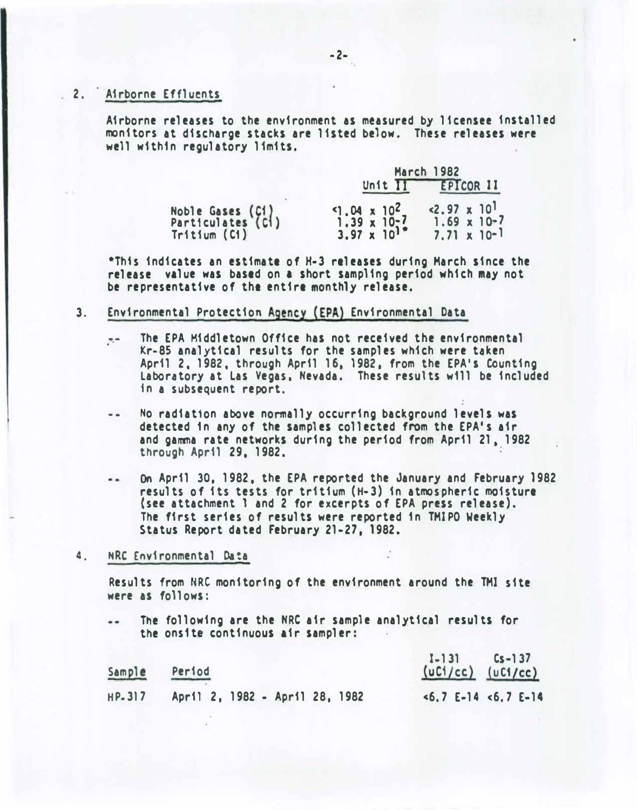# 2. Airborne Effluents

Airborne releases to the environment as measured by licensee installed monitors at discharge stacks are listed below. These releases were well within regulatory limits.

|                                                       | <b>March 1982</b>                                                       |                                                                          |  |  |  |
|-------------------------------------------------------|-------------------------------------------------------------------------|--------------------------------------------------------------------------|--|--|--|
|                                                       | Unit II                                                                 | EPICOR 11                                                                |  |  |  |
| Noble Gases (C1)<br>Particulates (C1)<br>Tritium (C1) | $9.04 \times 10^{2}$<br>$1.39 \times 10^{-7}$<br>3.97 x 10 <sup>1</sup> | $< 2.97 \times 10^{1}$<br>$1.69 \times 10^{-7}$<br>$7.71 \times 10^{-1}$ |  |  |  |

\*Thts indicates an estimate of H-3 releases during March since the release value was based on a short sampling period which may not be representative of the entire monthly release.

### 3. Environmental Protection Agency (EPA) Environmental Data

- .-. The EPA Middletown Office has not received the environmental Kr-85 analytical results for the samples which were taken April 2, 1982, through April 16. 1982, from the EPA's Counting Laboratory at Las Vegas. Nevada. These results w111 be included 1n a subsequent report.
- -· No radiation above normally occurring background levels was detected 1n any of the samples collected from the EPA's air and gamma rate networks during the period from April 21. 1982 through April 29, 1982.
- On April 30, 1982, the EPA reported the January and February 1982  $-1$ results of its tests for tritium (H-3) in atmospheric moisture (see attachment l and 2 for excerpts of EPA press release). The first series of results were reported 1n TMlPO Weekly Status Report dated February 21-27. 1982.
- 4, NRC Environmental Data

Results from NRC monitoring of the environment around the TMI site were as follows:

The following are the NRC air sample analytical results for the ons1te continuous air sampler:

| Sample | Period                         | $[-13]$ $[5 - 37]$<br>$(uCl/cc)$ $(uCl/cc)$ |
|--------|--------------------------------|---------------------------------------------|
| HP-317 | April 2, 1982 - April 28, 1982 | $5.7$ E-14 $5.7$ E-14                       |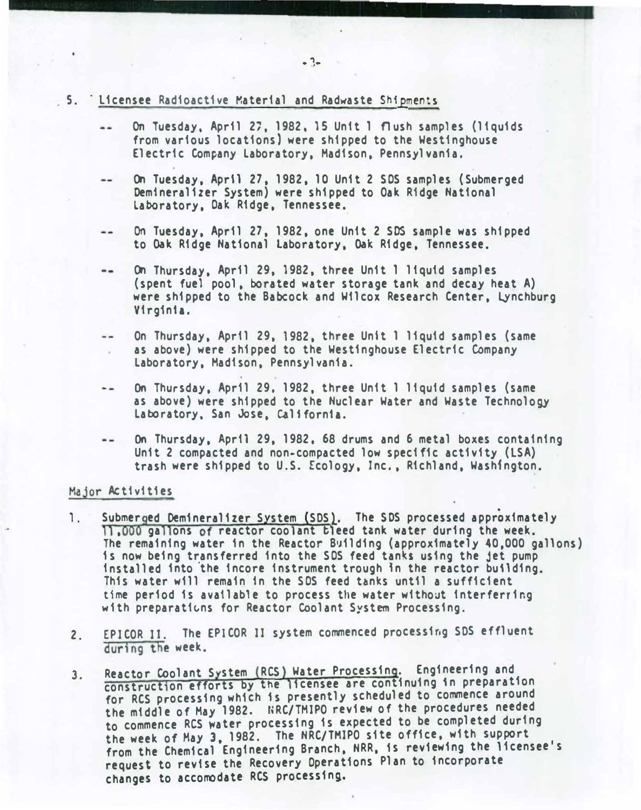- . 5. Licensee Radioactive Material and Radwaste Shipments
	- On Tuesday, April 27, 1982, 15 Unit 1 flush samples (liquids from various locations) were shipped to the Westinghouse Electric Company Laboratory, Madison, Pennsylvania.
	- $\cdots$ On Tuesday, Apr\1 27, 1982, 10 Unit 2 SOS samples (Submerged Oem1neralizer System) were shipped to Oak Ridge National Laboratory, Oak Ridge, Tennessee.
	- On Tuesday, April 27, 1982, one Unit 2 SOS sample was shipped .. to Oak Ridge National Laboratory, Oak Ridge, Tennessee.
	- .. On Thursday, April 29, 1982, three Unit 1 liquid samples (spent fuel pool, borated water storage tank and decay heat A) were shipped to the Babcock and Wilcox Research Center, Lynchburg Virginia.
	- On Thursday, April 29, 1982, three Unit 1 liquid samples (same  $-$ as above) were shipped to the Westinghouse Electric Company Laboratory, Madison, Pennsylvania.
	- On Thursday, April 29, 1982, three Unit 1 liquid samples (same -as above) were shipped to the Nuclear Water and Waste Technology Laboratory, San Jose, California.
	- On Thursday, April 29, 1982, 68 drums and 6 metal boxes containing Unit 2 compacted and non-compacted low specific activity (LSA) trash were shipped to U.S. Ecology, Inc., Richland, Washington.

#### Major Act1v1t1es

- 1. Submer ged Demineralizer System (SDS). The SDS processed approximately 11,000 gallons of reactor coolant bleed tank water during the week. The remaining water in the Reactor Building (approximately 40,000 gallons) 1s now being transferred into the SOS feed tan�s using the jet pump installed into the incore instrument trough in the reactor building. This water will remain in the SOS feed tanks until a sufficient time period is available to process the water without interferring. with preparations for Reactor Coolant System Processing.
- 2. EPICOR II. The EPICOR II system commenced processing SDS effluent during the week.
- 3. Reactor Coolant System (RCS) Water Processing. Engineering and construction efforts by the licensee are continuing in preparation for RCS processing which 1s presently scheduled to commence aroun<sup>d</sup> the middle of May 1982. NRC/TMIPO review of the procedures needed to commence RCS �ater processing is expected to be completed during the week of May 3, 1982. The NRC/TMIPO site office, with support from the Chemical ' Engineering Branch, NRR, is reviewing the licensee's request to revise the Recovery Operations Plan to incorporate changes to accomodate RCS processing.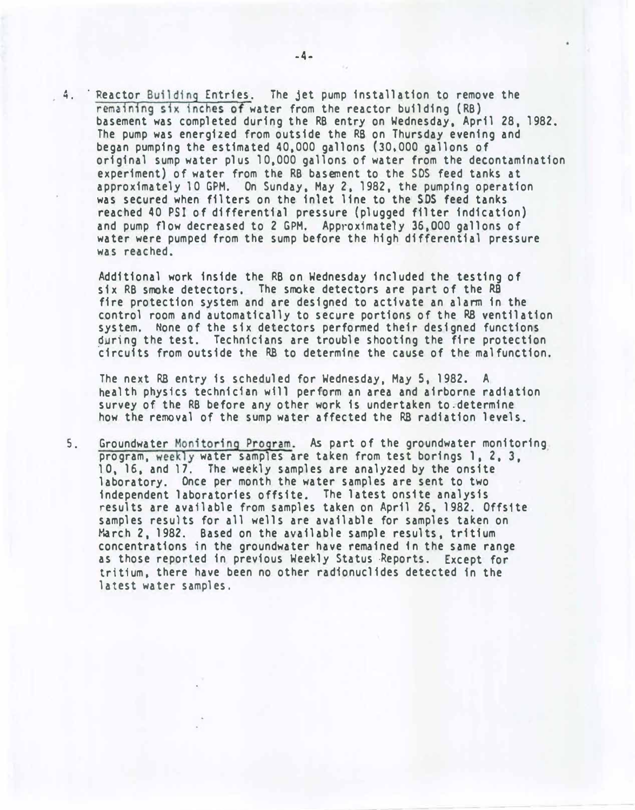. 4. Reactor Building Entries. The jet pump installation to remove the remaining six inches of water from the reactor building (RB) basement was completed during the RB entry on Wednesday, April 28, 1982. The pump was energized from outside the RS on Thursday evening and began pumping the estimated 40,000 gallons (30,000 gallons of original sump water plus 10,000 gallons of water from the decontamination experiment) of water from the RB basement to the SDS feed tanks at approximately 10 GPM. On Sunday, May 2, 1982, the pumping operation was secured when filters on the inlet line to the SOS feed tanks reached 40 PSI of differential pressure {plugged filter indication) and pump flow decreased to 2 GPM. Approximately 36,000 gallons of water were pumped from the sump before the high differential pressure was reached.

Additional work inside the RB on Wednesday included the testing of six RB smoke detectors. The smoke detectors are part of the RB fire protection system and are designed to activate an alarm in the control room and automatically to secure portions of the R8 ventilation system. None of the six detectors performed their designed functions during the test. Technicians are trouble shooting the fire protection circuits from outside the RB to determine the cause of the malfunction.

The next RB entry is scheduled for Wednesday, May 5, 1982. <sup>A</sup> health physics technician will perform an area and airborne radiation survey of the RB before any other work is undertaken to.determine how the removal of the sump water affected the RB radiation levels.

5. Groundwater Monitoring Program. As part of the groundwater monitoring program, weekly water samples are taken from test borings 1, 2, 3. 10. 16, and 17. The weekly samples are analyzed by the onsite laboratory. Once per month the water samples are sent to two independent laboratories offsite. The latest ons1te analysis results are available from samples taken on April 26, 1982. Offs1te samples results for all wells are available for samples taken on March 2, 1982. Based on the available sample results, tritium concentrations in the groundwater have remained 1n the same range as those reported in previous Weekly Status ·Reports. Except for tritium. there have been no other radfonuclides detected in the latest water samples.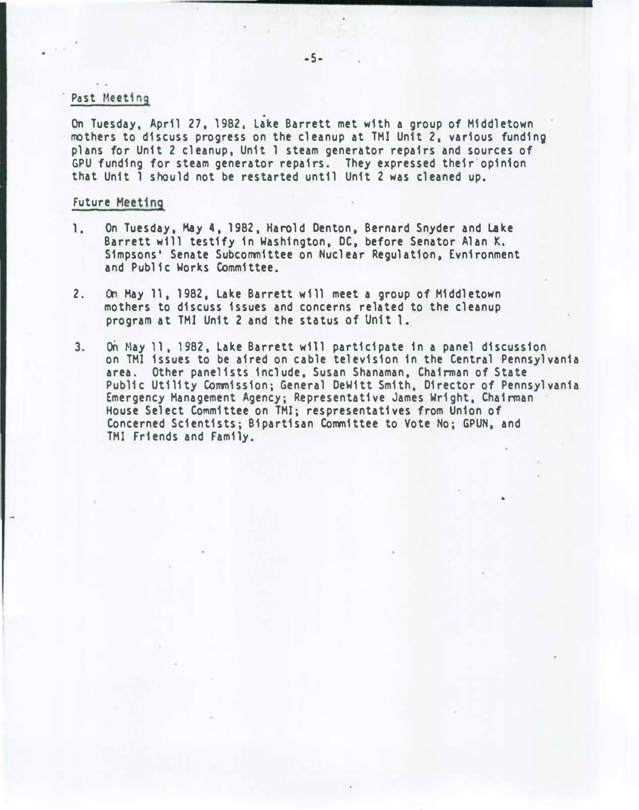#### Past Meeting

On Tuesday, April 27, 1982, Lake Barrett met with a group of Middletown mothers to discuss progress on the cleanup at TMI Unit 2, various funding pl ans for Unit 2 cl eanup, Unit 1 steam generator repairs and sources of GPU funding for steam generator repairs. They expressed their opinion that Unit 1 should not be restarted until Unit 2 was cleaned up.

#### Future Meeting

- 1. On Tuesday, May 4, 1982, Harold Denton, Bernard Snyder and Lake Barrett will testify in Washington, DC, before Senator Alan K. Simpsons' Senate Subcommittee on Nuclear Regulation, Evnironment and Public Works Committee.
- 2. On May 11, 1982, Lake Barrett will meet a group of Middletown mothers to discuss issues and concerns related to the cleanup program at TMI Unit 2 and the status of Unit 1.
- 3. on Hay 11, 1982, lake Barrett will participate in a panel discussion on TMI issues to be aired on cable television in the Central Pennsylvania area. Other panelists include, Susan Shanaman, Chairman of State Public Utility Commission; General DeWitt Smith, Director of Pennsylvania Emergency Management Agency; Representative James Wright, Chairman House Select Committee on TMI; respresentatives from Union of Concerned Scientists; Bipartisan Committee to Vote No; GPUN, and TMI Friends and Family.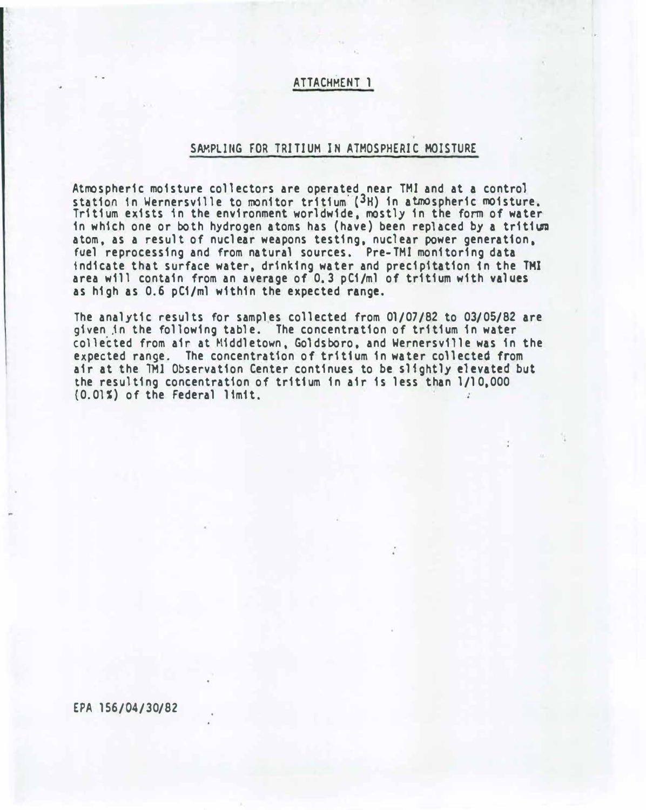### ATTACHMENT 1

### SAMPLING FOR TRITIUM IN ATMOSPHERIC MOISTURE

Atmospheric moisture collectors are operated near TMI and at a control station in Wernersville to monitor tritium (3H) in atmospheric moisture. Tritium exists 1n the environment worldwide, mostly in the form of water in which one or both hydrogen atoms has (have) been replaced by a tritium atom. as a result of nuclear weapons testing, nuclear power generation, fuel reprocessing and from natural sources. Pre-TMI monitoring data indicate that surface water, drinking water and precipitation 1n the TMI area will contain from an average of 0.3 pCi/ml of tritium with values as high as 0.6 pCi/ml within the expected range.

The analytic results for samples collected from 01/07/82 to 03/05/82 are given jn the following table. The concentration of tritium 1n water collected from air at Middletown, Goldsboro, and Wernersville was in the expected range. The concentration of tritium in water collected from air at the TMI Observation Center continues to be slightly elevated but the resulting concentration of tritium in a1r is less than l/10,000 (0.01�) of the Federal 11m1t.

EPA 156/04/30/82